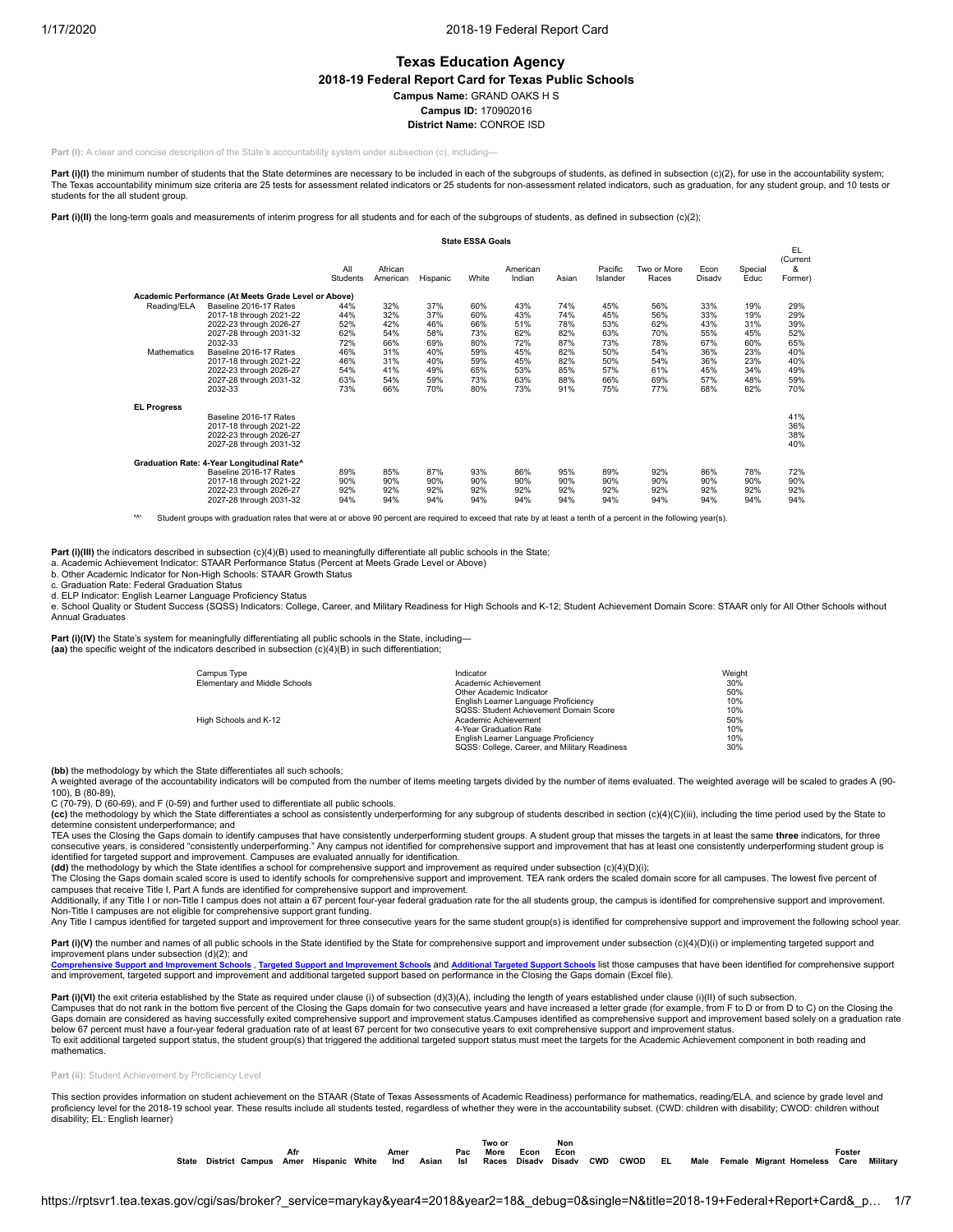# **Texas Education Agency**

**2018-19 Federal Report Card for Texas Public Schools**

**Campus Name:** GRAND OAKS H S

**Campus ID:** 170902016

**District Name:** CONROE ISD

**Part (i):** A clear and concise description of the State's accountability system under subsection (c), including-

**Part (i)(I)** the minimum number of students that the State determines are necessary to be included in each of the subgroups of students, as defined in subsection (c)(2), for use in the accountability system; The Texas accountability minimum size criteria are 25 tests for assessment related indicators or 25 students for non-assessment related indicators, such as graduation, for any student group, and 10 tests or students for the all student group.

Part (i)(II) the long-term goals and measurements of interim progress for all students and for each of the subgroups of students, as defined in subsection (c)(2);

|                                   |                                                                                                                                                                                                                                          |                                                                    |                                                                    |                                                                    | <b>State ESSA Goals</b>                                            |                                                                    |                                                                    |                                                                    |                                                                    |                                                                    |                                                                    |                                                                    |
|-----------------------------------|------------------------------------------------------------------------------------------------------------------------------------------------------------------------------------------------------------------------------------------|--------------------------------------------------------------------|--------------------------------------------------------------------|--------------------------------------------------------------------|--------------------------------------------------------------------|--------------------------------------------------------------------|--------------------------------------------------------------------|--------------------------------------------------------------------|--------------------------------------------------------------------|--------------------------------------------------------------------|--------------------------------------------------------------------|--------------------------------------------------------------------|
|                                   |                                                                                                                                                                                                                                          | All<br>Students                                                    | African<br>American                                                | Hispanic                                                           | White                                                              | American<br>Indian                                                 | Asian                                                              | Pacific<br>Islander                                                | Two or More<br>Races                                               | Econ<br>Disady                                                     | Special<br>Educ                                                    | EL.<br>(Current<br>&<br>Former)                                    |
|                                   | Academic Performance (At Meets Grade Level or Above)                                                                                                                                                                                     |                                                                    |                                                                    |                                                                    |                                                                    |                                                                    |                                                                    |                                                                    |                                                                    |                                                                    |                                                                    |                                                                    |
| Reading/ELA<br><b>Mathematics</b> | Baseline 2016-17 Rates<br>2017-18 through 2021-22<br>2022-23 through 2026-27<br>2027-28 through 2031-32<br>2032-33<br>Baseline 2016-17 Rates<br>2017-18 through 2021-22<br>2022-23 through 2026-27<br>2027-28 through 2031-32<br>2032-33 | 44%<br>44%<br>52%<br>62%<br>72%<br>46%<br>46%<br>54%<br>63%<br>73% | 32%<br>32%<br>42%<br>54%<br>66%<br>31%<br>31%<br>41%<br>54%<br>66% | 37%<br>37%<br>46%<br>58%<br>69%<br>40%<br>40%<br>49%<br>59%<br>70% | 60%<br>60%<br>66%<br>73%<br>80%<br>59%<br>59%<br>65%<br>73%<br>80% | 43%<br>43%<br>51%<br>62%<br>72%<br>45%<br>45%<br>53%<br>63%<br>73% | 74%<br>74%<br>78%<br>82%<br>87%<br>82%<br>82%<br>85%<br>88%<br>91% | 45%<br>45%<br>53%<br>63%<br>73%<br>50%<br>50%<br>57%<br>66%<br>75% | 56%<br>56%<br>62%<br>70%<br>78%<br>54%<br>54%<br>61%<br>69%<br>77% | 33%<br>33%<br>43%<br>55%<br>67%<br>36%<br>36%<br>45%<br>57%<br>68% | 19%<br>19%<br>31%<br>45%<br>60%<br>23%<br>23%<br>34%<br>48%<br>62% | 29%<br>29%<br>39%<br>52%<br>65%<br>40%<br>40%<br>49%<br>59%<br>70% |
| <b>EL Progress</b>                | Baseline 2016-17 Rates<br>2017-18 through 2021-22<br>2022-23 through 2026-27<br>2027-28 through 2031-32                                                                                                                                  |                                                                    |                                                                    |                                                                    |                                                                    |                                                                    |                                                                    |                                                                    |                                                                    |                                                                    |                                                                    | 41%<br>36%<br>38%<br>40%                                           |
|                                   | Graduation Rate: 4-Year Longitudinal Rate^<br>Baseline 2016-17 Rates<br>2017-18 through 2021-22<br>2022-23 through 2026-27<br>2027-28 through 2031-32                                                                                    | 89%<br>90%<br>92%<br>94%                                           | 85%<br>90%<br>92%<br>94%                                           | 87%<br>90%<br>92%<br>94%                                           | 93%<br>90%<br>92%<br>94%                                           | 86%<br>90%<br>92%<br>94%                                           | 95%<br>90%<br>92%<br>94%                                           | 89%<br>90%<br>92%<br>94%                                           | 92%<br>90%<br>92%<br>94%                                           | 86%<br>90%<br>92%<br>94%                                           | 78%<br>90%<br>92%<br>94%                                           | 72%<br>90%<br>92%<br>94%                                           |

Student groups with graduation rates that were at or above 90 percent are required to exceed that rate by at least a tenth of a percent in the following year(s).

**Part (i)(III)** the indicators described in subsection (c)(4)(B) used to meaningfully differentiate all public schools in the State;

a. Academic Achievement Indicator: STAAR Performance Status (Percent at Meets Grade Level or Above)

b. Other Academic Indicator for Non-High Schools: STAAR Growth Status

c. Graduation Rate: Federal Graduation Status

d. ELP Indicator: English Learner Language Proficiency Status

e. School Quality or Student Success (SQSS) Indicators: College, Career, and Military Readiness for High Schools and K-12; Student Achievement Domain Score: STAAR only for All Other Schools without Annual Graduates

Part (i)(IV) the State's system for meaningfully differentiating all public schools in the State, including— **(aa)** the specific weight of the indicators described in subsection (c)(4)(B) in such differentiation;

| Campus Type                   | Indicator                                     | Weight |
|-------------------------------|-----------------------------------------------|--------|
| Elementary and Middle Schools | Academic Achievement                          | 30%    |
|                               | Other Academic Indicator                      | 50%    |
|                               | English Learner Language Proficiency          | 10%    |
|                               | SQSS: Student Achievement Domain Score        | 10%    |
| High Schools and K-12         | Academic Achievement                          | 50%    |
|                               | 4-Year Graduation Rate                        | 10%    |
|                               | English Learner Language Proficiency          | 10%    |
|                               | SQSS: College, Career, and Military Readiness | 30%    |

**(bb)** the methodology by which the State differentiates all such schools;

A weighted average of the accountability indicators will be computed from the number of items meeting targets divided by the number of items evaluated. The weighted average will be scaled to grades A (90- 100), B (80-89),

C (70-79), D (60-69), and F (0-59) and further used to differentiate all public schools.

(cc) the methodology by which the State differentiates a school as consistently underperforming for any subgroup of students described in section (c)(4)(C)(iii), including the time period used by the State to (c)(4)(C) (ii determine consistent underperformance; and

TEA uses the Closing the Gaps domain to identify campuses that have consistently underperforming student groups. A student group that misses the targets in at least the same **three** indicators, for three consecutive years, is considered "consistently underperforming." Any campus not identified for comprehensive support and improvement that has at least one consistently underperforming student group is identified for targeted support and improvement. Campuses are evaluated annually for identification.<br>**(dd)** the methodology by which the State identifies a school for comprehensive support and improvement as required under

The Closing the Gaps domain scaled score is used to identify schools for comprehensive support and improvement. TEA rank orders the scaled domain score for all campuses. The lowest five percent of

campuses that receive Title I, Part A funds are identified for comprehensive support and improvement.<br>Additionally, if any Title I or non-Title I campus does not attain a 67 percent four-year federal graduation rate for th

Non-Title I campuses are not eligible for comprehensive support grant funding.<br>Any Title I campus identified for targeted support and improvement for three consecutive years for the same student group(s) is identified for

Part (i)(V) the number and names of all public schools in the State identified by the State for comprehensive support and improvement under subsection (c)(4)(D)(i) or implementing targeted support and

improvement plans under subsection (d)(2); and<br>Comprehensive Support and Improvement Schools

<sub>\* Cyt</sub>∠n worden in the Schools and [Improvement](https://tea.texas.gov/sites/default/files/target_support_2019.xlsx) Schools and <u>[Additional](https://tea.texas.gov/sites/default/files/additional_targeted_support_2019.xlsx) Targeted Support Schools</u> list those campuses that have been identified for comprehensive support and improvement, targeted support and improvement and additional targeted support based on performance in the Closing the Gaps domain (Excel file).

Part (i)(VI) the exit criteria established by the State as required under clause (i) of subsection (d)(3)(A), including the length of years established under clause (i)(II) of such subsection Campuses that do not rank in the bottom five percent of the Closing the Gaps domain for two consecutive years and have increased a letter grade (for example, from F to D or from D to C) on the Closing the Gaps domain are considered as having successfully exited comprehensive support and improvement status.Campuses identified as comprehensive support and improvement based solely on a graduation rate below 67 percent must have a four-year federal graduation rate of at least 67 percent for two consecutive years to exit comprehensive support and improvement status. To exit additional targeted support status, the student group(s) that triggered the additional targeted support status must meet the targets for the Academic Achievement component in both reading and mathematics.

#### **Part (ii):** Student Achievement by Proficiency Level

This section provides information on student achievement on the STAAR (State of Texas Assessments of Academic Readiness) performance for mathematics, reading/ELA, and science by grade level and proficiency level for the 2018-19 school year. These results include all students tested, regardless of whether they were in the accountability subset. (CWD: children with disability; CWOD: children without disability; EL: English learner)

|       |                        |      |          |       |      |       |     | Two or |        | Non    |            |             |     |      |                         |        |          |
|-------|------------------------|------|----------|-------|------|-------|-----|--------|--------|--------|------------|-------------|-----|------|-------------------------|--------|----------|
|       |                        | Afr  |          |       | Amer |       | Pac | More   | Econ   | Econ   |            |             |     |      |                         | Foster |          |
| State | <b>District Campus</b> | Amer | Hispanic | White | Ind  | Asian | lsl | Races  | Disadv | Disadv | <b>CWD</b> | <b>CWOD</b> | EL. | Male | Female Migrant Homeless | Care   | Military |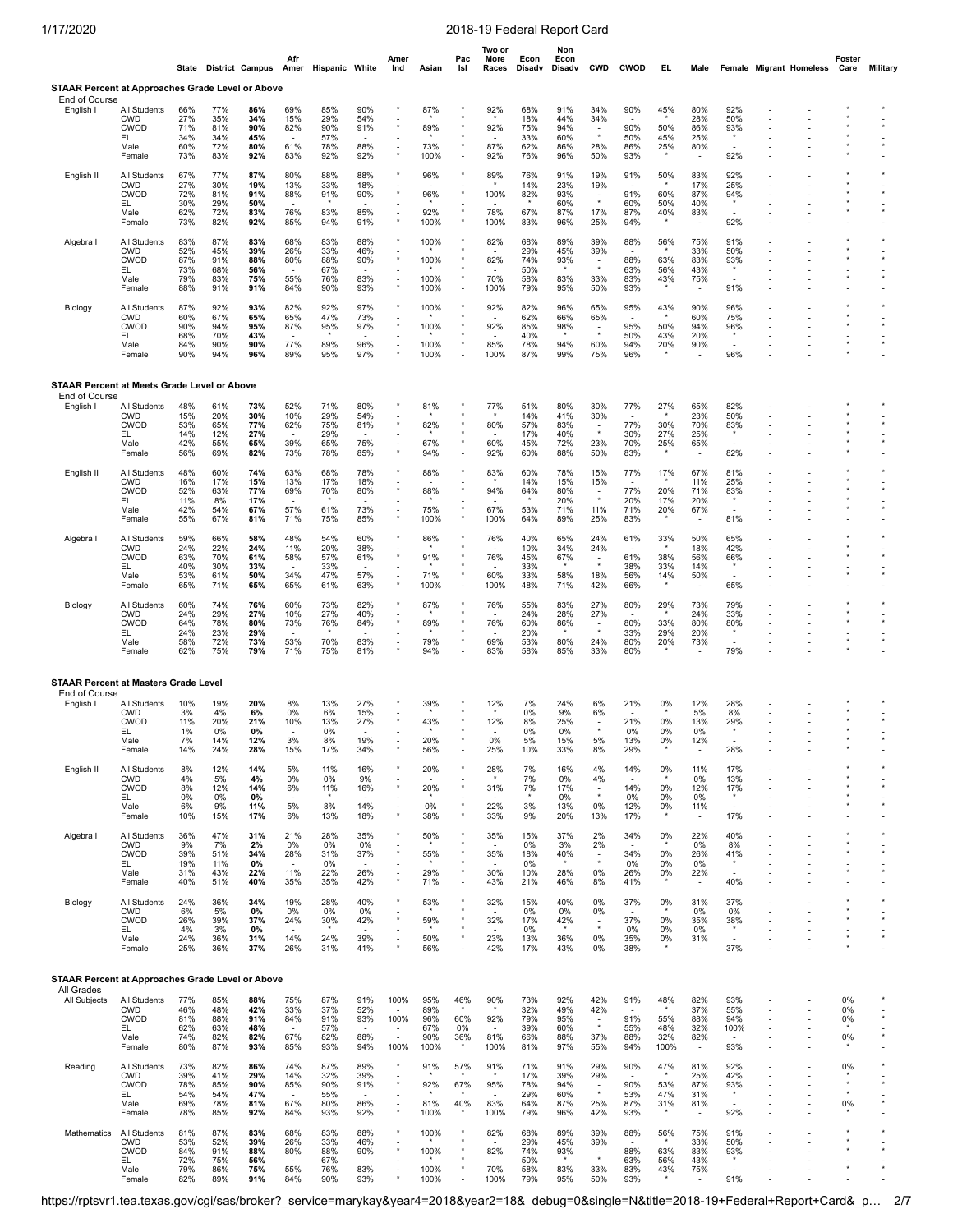|                                                                   |                                                                           | State                                  |                                        | <b>District Campus</b>                  | Afr                                                         | Amer Hispanic White                    |                                                             | Amer<br>Ind                                                                            | Asian                                   | Pac<br>Isl                                                                          | Two or<br>More<br>Races    | Econ<br>Disadv                         | Non<br>Econ<br>Disadv                  | <b>CWD</b>                                                      | <b>CWOD</b>                                                 | EL                               | Male                                                        |                                                              | Female Migrant Homeless | Foster<br>Care                  | <b>Military</b> |
|-------------------------------------------------------------------|---------------------------------------------------------------------------|----------------------------------------|----------------------------------------|-----------------------------------------|-------------------------------------------------------------|----------------------------------------|-------------------------------------------------------------|----------------------------------------------------------------------------------------|-----------------------------------------|-------------------------------------------------------------------------------------|----------------------------|----------------------------------------|----------------------------------------|-----------------------------------------------------------------|-------------------------------------------------------------|----------------------------------|-------------------------------------------------------------|--------------------------------------------------------------|-------------------------|---------------------------------|-----------------|
| STAAR Percent at Approaches Grade Level or Above<br>End of Course |                                                                           |                                        |                                        |                                         |                                                             |                                        |                                                             |                                                                                        |                                         |                                                                                     |                            |                                        |                                        |                                                                 |                                                             |                                  |                                                             |                                                              |                         |                                 |                 |
| English I                                                         | All Students<br><b>CWD</b><br>CWOD<br>EL<br>Male<br>Female                | 66%<br>27%<br>71%<br>34%<br>60%<br>73% | 77%<br>35%<br>81%<br>34%<br>72%<br>83% | 86%<br>34%<br>90%<br>45%<br>80%<br>92%  | 69%<br>15%<br>82%<br>61%<br>83%                             | 85%<br>29%<br>90%<br>57%<br>78%<br>92% | 90%<br>54%<br>91%<br>88%<br>92%                             |                                                                                        | 87%<br>89%<br>73%<br>100%               | $^\star$<br>$\sim$                                                                  | 92%<br>92%<br>87%<br>92%   | 68%<br>18%<br>75%<br>33%<br>62%<br>76% | 91%<br>44%<br>94%<br>60%<br>86%<br>96% | 34%<br>34%<br>$\overline{\phantom{a}}$<br>$\star$<br>28%<br>50% | 90%<br>90%<br>50%<br>86%<br>93%                             | 45%<br>50%<br>45%<br>25%         | 80%<br>28%<br>86%<br>25%<br>80%                             | 92%<br>50%<br>93%<br>92%                                     |                         |                                 |                 |
| English II                                                        | All Students<br><b>CWD</b><br><b>CWOD</b><br>EL<br>Male<br>Female         | 67%<br>27%<br>72%<br>30%<br>62%<br>73% | 77%<br>30%<br>81%<br>29%<br>72%<br>82% | 87%<br>19%<br>91%<br>50%<br>83%<br>92%  | 80%<br>13%<br>88%<br>76%<br>85%                             | 88%<br>33%<br>91%<br>83%<br>94%        | 88%<br>18%<br>90%<br>85%<br>91%                             |                                                                                        | 96%<br>96%<br>92%<br>100%               | $^\star$                                                                            | 89%<br>100%<br>78%<br>100% | 76%<br>14%<br>82%<br>67%<br>83%        | 91%<br>23%<br>93%<br>60%<br>87%<br>96% | 19%<br>19%<br>$\ddot{\phantom{a}}$<br>17%<br>25%                | 91%<br>91%<br>60%<br>87%<br>94%                             | 50%<br>60%<br>50%<br>40%         | 83%<br>17%<br>87%<br>40%<br>83%                             | 92%<br>25%<br>94%<br>92%                                     |                         |                                 |                 |
| Algebra I                                                         | <b>All Students</b><br><b>CWD</b><br><b>CWOD</b><br>EL.<br>Male<br>Female | 83%<br>52%<br>87%<br>73%<br>79%<br>88% | 87%<br>45%<br>91%<br>68%<br>83%<br>91% | 83%<br>39%<br>88%<br>56%<br>75%<br>91%  | 68%<br>26%<br>80%<br>55%<br>84%                             | 83%<br>33%<br>88%<br>67%<br>76%<br>90% | 88%<br>46%<br>90%<br>83%<br>93%                             |                                                                                        | 100%<br>100%<br>100%<br>100%            | $^\star$<br>$\overline{\phantom{a}}$                                                | 82%<br>82%<br>70%<br>100%  | 68%<br>29%<br>74%<br>50%<br>58%<br>79% | 89%<br>45%<br>93%<br>83%<br>95%        | 39%<br>39%<br>$\overline{\phantom{a}}$<br>$\star$<br>33%<br>50% | 88%<br>88%<br>63%<br>83%<br>93%                             | 56%<br>63%<br>56%<br>43%         | 75%<br>33%<br>83%<br>43%<br>75%                             | 91%<br>50%<br>93%<br>91%                                     |                         |                                 |                 |
| Biology                                                           | All Students<br><b>CWD</b><br><b>CWOD</b><br>EL.<br>Male<br>Female        | 87%<br>60%<br>90%<br>68%<br>84%<br>90% | 92%<br>67%<br>94%<br>70%<br>90%<br>94% | 93%<br>65%<br>95%<br>43%<br>90%<br>96%  | 82%<br>65%<br>87%<br>77%<br>89%                             | 92%<br>47%<br>95%<br>89%<br>95%        | 97%<br>73%<br>97%<br>96%<br>97%                             |                                                                                        | 100%<br>100%<br>100%<br>100%            | $\star$                                                                             | 92%<br>92%<br>85%<br>100%  | 82%<br>62%<br>85%<br>40%<br>78%<br>87% | 96%<br>66%<br>98%<br>94%<br>99%        | 65%<br>65%<br>$\tilde{\phantom{a}}$<br>$\star$<br>60%<br>75%    | 95%<br>95%<br>50%<br>94%<br>96%                             | 43%<br>50%<br>43%<br>20%         | 90%<br>60%<br>94%<br>20%<br>90%                             | 96%<br>75%<br>96%<br>96%                                     |                         |                                 |                 |
| STAAR Percent at Meets Grade Level or Above                       |                                                                           |                                        |                                        |                                         |                                                             |                                        |                                                             |                                                                                        |                                         |                                                                                     |                            |                                        |                                        |                                                                 |                                                             |                                  |                                                             |                                                              |                         |                                 |                 |
| End of Course<br>English I                                        | All Students<br><b>CWD</b><br><b>CWOD</b><br>EL<br>Male<br>Female         | 48%<br>15%<br>53%<br>14%<br>42%<br>56% | 61%<br>20%<br>65%<br>12%<br>55%<br>69% | 73%<br>30%<br>77%<br>27%<br>65%<br>82%  | 52%<br>10%<br>62%<br>39%<br>73%                             | 71%<br>29%<br>75%<br>29%<br>65%<br>78% | 80%<br>54%<br>81%<br>75%<br>85%                             |                                                                                        | 81%<br>82%<br>67%<br>94%                | $^\star$                                                                            | 77%<br>80%<br>60%<br>92%   | 51%<br>14%<br>57%<br>17%<br>45%<br>60% | 80%<br>41%<br>83%<br>40%<br>72%<br>88% | 30%<br>30%<br>$\overline{\phantom{a}}$<br>$\star$<br>23%<br>50% | 77%<br>77%<br>30%<br>70%<br>83%                             | 27%<br>30%<br>27%<br>25%         | 65%<br>23%<br>70%<br>25%<br>65%                             | 82%<br>50%<br>83%<br>82%                                     |                         |                                 |                 |
| English II                                                        | All Students<br><b>CWD</b><br><b>CWOD</b><br>EL.<br>Male<br>Female        | 48%<br>16%<br>52%<br>11%<br>42%<br>55% | 60%<br>17%<br>63%<br>8%<br>54%<br>67%  | 74%<br>15%<br>77%<br>17%<br>67%<br>81%  | 63%<br>13%<br>69%<br>57%<br>71%                             | 68%<br>17%<br>70%<br>61%<br>75%        | 78%<br>18%<br>80%<br>73%<br>85%                             |                                                                                        | 88%<br>88%<br>75%<br>100%               | $^\star$<br>$\star$<br>$^\star$<br>$^\star$                                         | 83%<br>94%<br>67%<br>100%  | 60%<br>14%<br>64%<br>53%<br>64%        | 78%<br>15%<br>80%<br>20%<br>71%<br>89% | 15%<br>15%<br>$\overline{\phantom{a}}$<br>$\star$<br>11%<br>25% | 77%<br>77%<br>20%<br>71%<br>83%                             | 17%<br>20%<br>17%<br>20%         | 67%<br>11%<br>71%<br>20%<br>67%                             | 81%<br>25%<br>83%<br>81%                                     |                         |                                 |                 |
| Algebra I                                                         | All Students<br><b>CWD</b><br><b>CWOD</b><br>EL<br>Male<br>Female         | 59%<br>24%<br>63%<br>40%<br>53%<br>65% | 66%<br>22%<br>70%<br>30%<br>61%<br>71% | 58%<br>24%<br>61%<br>33%<br>50%<br>65%  | 48%<br>11%<br>58%<br>34%<br>65%                             | 54%<br>20%<br>57%<br>33%<br>47%<br>61% | 60%<br>38%<br>61%<br>57%<br>63%                             |                                                                                        | 86%<br>91%<br>71%<br>100%               | $^\star$<br>$\overline{\phantom{a}}$                                                | 76%<br>76%<br>60%<br>100%  | 40%<br>10%<br>45%<br>33%<br>33%<br>48% | 65%<br>34%<br>67%<br>58%<br>71%        | 24%<br>24%<br>$\overline{\phantom{a}}$<br>18%<br>42%            | 61%<br>61%<br>38%<br>56%<br>66%                             | 33%<br>38%<br>33%<br>14%         | 50%<br>18%<br>56%<br>14%<br>50%                             | 65%<br>42%<br>66%<br>65%                                     |                         |                                 |                 |
| Biology                                                           | All Students<br><b>CWD</b><br><b>CWOD</b><br>EL.<br>Male<br>Female        | 60%<br>24%<br>64%<br>24%<br>58%<br>62% | 74%<br>29%<br>78%<br>23%<br>72%<br>75% | 76%<br>27%<br>80%<br>29%<br>73%<br>79%  | 60%<br>10%<br>73%<br>53%<br>71%                             | 73%<br>27%<br>76%<br>70%<br>75%        | 82%<br>40%<br>84%<br>83%<br>81%                             |                                                                                        | 87%<br>89%<br>79%<br>94%                |                                                                                     | 76%<br>76%<br>69%<br>83%   | 55%<br>24%<br>60%<br>20%<br>53%<br>58% | 83%<br>28%<br>86%<br>80%<br>85%        | 27%<br>27%<br>$\overline{\phantom{a}}$<br>$\star$<br>24%<br>33% | 80%<br>80%<br>33%<br>80%<br>80%                             | 29%<br>33%<br>29%<br>20%         | 73%<br>24%<br>80%<br>20%<br>73%                             | 79%<br>33%<br>80%<br>79%                                     | ÷,                      |                                 |                 |
| <b>STAAR Percent at Masters Grade Level</b>                       |                                                                           |                                        |                                        |                                         |                                                             |                                        |                                                             |                                                                                        |                                         |                                                                                     |                            |                                        |                                        |                                                                 |                                                             |                                  |                                                             |                                                              |                         |                                 |                 |
| End of Course<br>English I                                        | All Students<br><b>CWD</b><br>CWOD<br>EL.<br>Male<br>Female               | 10%<br>3%<br>11%<br>1%<br>7%<br>14%    | 19%<br>4%<br>20%<br>0%<br>14%<br>24%   | 20%<br>6%<br>21%<br>$0\%$<br>12%<br>28% | 8%<br>0%<br>10%<br>3%<br>15%                                | 13%<br>6%<br>13%<br>0%<br>8%<br>17%    | 27%<br>15%<br>27%<br>19%<br>34%                             |                                                                                        | 39%<br>43%<br>20%<br>56%                |                                                                                     | 12%<br>12%<br>0%<br>25%    | 7%<br>0%<br>8%<br>0%<br>5%<br>10%      | 24%<br>9%<br>25%<br>0%<br>15%<br>33%   | 6%<br>6%<br>$\overline{\phantom{a}}$<br>$\star$<br>5%<br>8%     | 21%<br>21%<br>0%<br>13%<br>29%                              | 0%<br>0%<br>0%<br>0%             | 12%<br>5%<br>13%<br>0%<br>12%                               | 28%<br>8%<br>29%<br>28%                                      |                         |                                 |                 |
| English II                                                        | All Students<br><b>CWD</b><br>CWOD<br>EL.<br>Male<br>Female               | 8%<br>4%<br>8%<br>0%<br>6%<br>10%      | 12%<br>5%<br>12%<br>0%<br>9%<br>15%    | 14%<br>4%<br>14%<br>0%<br>11%<br>17%    | 5%<br>0%<br>6%<br>$\overline{\phantom{a}}$<br>5%<br>6%      | 11%<br>0%<br>11%<br>8%<br>13%          | 16%<br>9%<br>16%<br>$\overline{\phantom{a}}$<br>14%<br>18%  |                                                                                        | 20%<br>20%<br>0%<br>38%                 | $^\star$<br>$^\star$<br>$^\star$                                                    | 28%<br>31%<br>22%<br>33%   | 7%<br>7%<br>7%<br>3%<br>9%             | 16%<br>0%<br>17%<br>0%<br>13%<br>20%   | 4%<br>4%<br>$\sim$<br>$\star$<br>0%<br>13%                      | 14%<br>14%<br>0%<br>12%<br>17%                              | 0%<br>0%<br>0%<br>0%             | 11%<br>0%<br>12%<br>0%<br>11%                               | 17%<br>13%<br>17%<br>$\sim$<br>17%                           |                         |                                 |                 |
| Algebra I                                                         | <b>All Students</b><br><b>CWD</b><br><b>CWOD</b><br>EL.<br>Male<br>Female | 36%<br>9%<br>39%<br>19%<br>31%<br>40%  | 47%<br>7%<br>51%<br>11%<br>43%<br>51%  | 31%<br>2%<br>34%<br>0%<br>22%<br>40%    | 21%<br>0%<br>28%<br>11%<br>35%                              | 28%<br>0%<br>31%<br>0%<br>22%<br>35%   | 35%<br>0%<br>37%<br>26%<br>42%                              | $\star$<br>$\star$                                                                     | 50%<br>55%<br>29%<br>71%                | $^\star$<br>$^\star$<br>$^\star$<br>$\star$<br>$^\star$<br>$\overline{\phantom{a}}$ | 35%<br>35%<br>30%<br>43%   | 15%<br>0%<br>18%<br>0%<br>10%<br>21%   | 37%<br>3%<br>40%<br>28%<br>46%         | 2%<br>2%<br>$\overline{\phantom{a}}$<br>$\star$<br>0%<br>8%     | 34%<br>34%<br>0%<br>26%<br>41%                              | 0%<br>0%<br>0%<br>0%             | 22%<br>0%<br>26%<br>0%<br>22%                               | 40%<br>8%<br>41%<br>40%                                      |                         |                                 |                 |
| Biology                                                           | All Students<br><b>CWD</b><br>CWOD<br>EL.<br>Male<br>Female               | 24%<br>6%<br>26%<br>4%<br>24%<br>25%   | 36%<br>5%<br>39%<br>3%<br>36%<br>36%   | 34%<br>0%<br>37%<br>0%<br>31%<br>37%    | 19%<br>0%<br>24%<br>14%<br>26%                              | 28%<br>0%<br>30%<br>24%<br>31%         | 40%<br>0%<br>42%<br>39%<br>41%                              |                                                                                        | 53%<br>59%<br>50%<br>56%                | $^\star$<br>$\star$                                                                 | 32%<br>32%<br>23%<br>42%   | 15%<br>0%<br>17%<br>0%<br>13%<br>17%   | 40%<br>0%<br>42%<br>36%<br>43%         | 0%<br>0%<br>$\overline{\phantom{a}}$<br>$\star$<br>0%<br>0%     | 37%<br>37%<br>0%<br>35%<br>38%                              | 0%<br>0%<br>0%<br>0%             | 31%<br>0%<br>35%<br>0%<br>31%                               | 37%<br>0%<br>38%<br>37%                                      |                         |                                 |                 |
| <b>STAAR Percent at Approaches Grade Level or Above</b>           |                                                                           |                                        |                                        |                                         |                                                             |                                        |                                                             |                                                                                        |                                         |                                                                                     |                            |                                        |                                        |                                                                 |                                                             |                                  |                                                             |                                                              |                         |                                 |                 |
| All Grades<br>All Subjects                                        | All Students<br><b>CWD</b><br>CWOD<br>EL.<br>Male<br>Female               | 77%<br>46%<br>81%<br>62%<br>74%<br>80% | 85%<br>48%<br>88%<br>63%<br>82%<br>87% | 88%<br>42%<br>91%<br>48%<br>82%<br>93%  | 75%<br>33%<br>84%<br>67%<br>85%                             | 87%<br>37%<br>91%<br>57%<br>82%<br>93% | 91%<br>52%<br>93%<br>$\overline{\phantom{a}}$<br>88%<br>94% | 100%<br>$\sim$<br>100%<br>$\overline{\phantom{a}}$<br>$\overline{\phantom{a}}$<br>100% | 95%<br>89%<br>96%<br>67%<br>90%<br>100% | 46%<br>60%<br>0%<br>36%                                                             | 90%<br>92%<br>81%<br>100%  | 73%<br>32%<br>79%<br>39%<br>66%<br>81% | 92%<br>49%<br>95%<br>60%<br>88%<br>97% | 42%<br>42%<br>$\overline{\phantom{a}}$<br>$\star$<br>37%<br>55% | 91%<br>91%<br>55%<br>88%<br>94%                             | 48%<br>55%<br>48%<br>32%<br>100% | 82%<br>37%<br>88%<br>32%<br>82%<br>$\overline{\phantom{a}}$ | 93%<br>55%<br>94%<br>100%<br>$\overline{\phantom{a}}$<br>93% |                         | 0%<br>0%<br>0%<br>0%            |                 |
| Reading                                                           | All Students<br><b>CWD</b><br>CWOD<br>EL.<br>Male<br>Female               | 73%<br>39%<br>78%<br>54%<br>69%<br>78% | 82%<br>41%<br>85%<br>54%<br>78%<br>85% | 86%<br>29%<br>90%<br>47%<br>81%<br>92%  | 74%<br>14%<br>85%<br>67%<br>84%                             | 87%<br>32%<br>90%<br>55%<br>80%<br>93% | 89%<br>39%<br>91%<br>$\overline{\phantom{a}}$<br>86%<br>92% | $\overline{\phantom{a}}$<br>$\overline{\phantom{a}}$<br>$\star$                        | 91%<br>92%<br>81%<br>100%               | 57%<br>$\star$<br>67%<br>40%<br>$\star$                                             | 91%<br>95%<br>83%<br>100%  | 71%<br>17%<br>78%<br>29%<br>64%<br>79% | 91%<br>39%<br>94%<br>60%<br>87%<br>96% | 29%<br>29%<br>$\overline{\phantom{a}}$<br>$\star$<br>25%<br>42% | 90%<br>90%<br>53%<br>87%<br>93%                             | 47%<br>53%<br>47%<br>31%         | 81%<br>25%<br>87%<br>31%<br>81%                             | 92%<br>42%<br>93%<br>$\star$<br>92%                          | ÷,                      | 0%<br>$^\star$<br>$\star$<br>0% |                 |
| Mathematics                                                       | All Students<br><b>CWD</b><br>CWOD<br>EL.<br>Male<br>Female               | 81%<br>53%<br>84%<br>72%<br>79%<br>82% | 87%<br>52%<br>91%<br>75%<br>86%<br>89% | 83%<br>39%<br>88%<br>56%<br>75%<br>91%  | 68%<br>26%<br>80%<br>$\overline{\phantom{a}}$<br>55%<br>84% | 83%<br>33%<br>88%<br>67%<br>76%<br>90% | 88%<br>46%<br>90%<br>$\overline{\phantom{a}}$<br>83%<br>93% |                                                                                        | 100%<br>100%<br>100%<br>100%            | $^\star$                                                                            | 82%<br>82%<br>70%<br>100%  | 68%<br>29%<br>74%<br>50%<br>58%<br>79% | 89%<br>45%<br>93%<br>83%<br>95%        | 39%<br>39%<br>$\sim$<br>$\star$<br>33%<br>50%                   | 88%<br>$\overline{\phantom{a}}$<br>88%<br>63%<br>83%<br>93% | 56%<br>63%<br>56%<br>43%         | 75%<br>33%<br>83%<br>43%<br>75%                             | 91%<br>50%<br>93%<br>$\overline{\phantom{a}}$<br>91%         |                         |                                 |                 |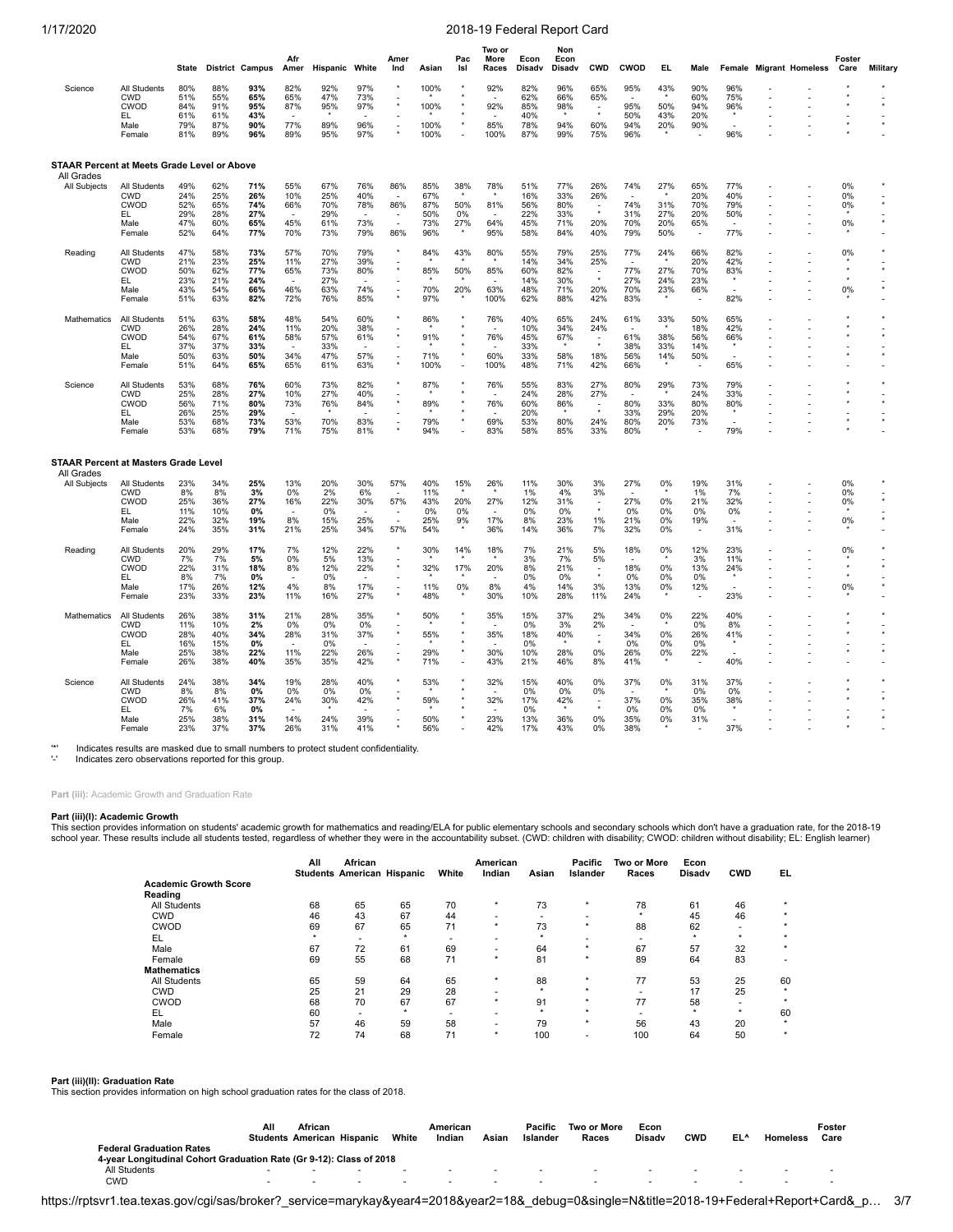|                                                           |                                                                    | <b>State</b>                           |                                        | <b>District Campus</b>                  | Afr<br>Amer                                                 | Hispanic                               | White                                                       | Amer<br>Ind                                                                                 | Asian                                  | Pac<br>Isl                                                           | Two or<br>More<br>Races   | Econ<br>Disadv                         | Non<br>Econ<br>Disadv                  | <b>CWD</b>                                                      | CWOD                            | EL                              | Male                                                      |                                 | Female Migrant Homeless | Foster<br>Care                            | Military |
|-----------------------------------------------------------|--------------------------------------------------------------------|----------------------------------------|----------------------------------------|-----------------------------------------|-------------------------------------------------------------|----------------------------------------|-------------------------------------------------------------|---------------------------------------------------------------------------------------------|----------------------------------------|----------------------------------------------------------------------|---------------------------|----------------------------------------|----------------------------------------|-----------------------------------------------------------------|---------------------------------|---------------------------------|-----------------------------------------------------------|---------------------------------|-------------------------|-------------------------------------------|----------|
| Science                                                   | All Students<br><b>CWD</b><br>CWOD<br>EL<br>Male<br>Female         | 80%<br>51%<br>84%<br>61%<br>79%<br>81% | 88%<br>55%<br>91%<br>61%<br>87%<br>89% | 93%<br>65%<br>95%<br>43%<br>90%<br>96%  | 82%<br>65%<br>87%<br>77%<br>89%                             | 92%<br>47%<br>95%<br>89%<br>95%        | 97%<br>73%<br>97%<br>96%<br>97%                             | $\overline{\phantom{a}}$<br>$\overline{\phantom{a}}$                                        | 100%<br>100%<br>100%<br>100%           | ÷,                                                                   | 92%<br>92%<br>85%<br>100% | 82%<br>62%<br>85%<br>40%<br>78%<br>87% | 96%<br>66%<br>98%<br>94%<br>99%        | 65%<br>65%<br>$\overline{\phantom{a}}$<br>60%<br>75%            | 95%<br>95%<br>50%<br>94%<br>96% | 43%<br>50%<br>43%<br>20%        | 90%<br>60%<br>94%<br>20%<br>90%                           | 96%<br>75%<br>96%<br>96%        |                         |                                           |          |
| STAAR Percent at Meets Grade Level or Above<br>All Grades |                                                                    |                                        |                                        |                                         |                                                             |                                        |                                                             |                                                                                             |                                        |                                                                      |                           |                                        |                                        |                                                                 |                                 |                                 |                                                           |                                 |                         |                                           |          |
| All Subjects                                              | All Students<br><b>CWD</b><br>CWOD<br>EL.<br>Male<br>Female        | 49%<br>24%<br>52%<br>29%<br>47%<br>52% | 62%<br>25%<br>65%<br>28%<br>60%<br>64% | 71%<br>26%<br>74%<br>27%<br>65%<br>77%  | 55%<br>10%<br>66%<br>$\overline{\phantom{a}}$<br>45%<br>70% | 67%<br>25%<br>70%<br>29%<br>61%<br>73% | 76%<br>40%<br>78%<br>$\overline{\phantom{a}}$<br>73%<br>79% | 86%<br>$\overline{\phantom{a}}$<br>86%<br>$\overline{\phantom{a}}$<br>$\overline{a}$<br>86% | 85%<br>67%<br>87%<br>50%<br>73%<br>96% | 38%<br>50%<br>0%<br>27%                                              | 78%<br>81%<br>64%<br>95%  | 51%<br>16%<br>56%<br>22%<br>45%<br>58% | 77%<br>33%<br>80%<br>33%<br>71%<br>84% | 26%<br>26%<br>$\overline{\phantom{a}}$<br>$\star$<br>20%<br>40% | 74%<br>74%<br>31%<br>70%<br>79% | 27%<br>31%<br>27%<br>20%<br>50% | 65%<br>20%<br>70%<br>20%<br>65%<br>$\tilde{\phantom{a}}$  | 77%<br>40%<br>79%<br>50%<br>77% |                         | 0%<br>0%<br>0%<br>0%                      |          |
| Reading                                                   | All Students<br><b>CWD</b><br>CWOD<br>EL.<br>Male<br>Female        | 47%<br>21%<br>50%<br>23%<br>43%<br>51% | 58%<br>23%<br>62%<br>21%<br>54%<br>63% | 73%<br>25%<br>77%<br>24%<br>66%<br>82%  | 57%<br>11%<br>65%<br>46%<br>72%                             | 70%<br>27%<br>73%<br>27%<br>63%<br>76% | 79%<br>39%<br>80%<br>74%<br>85%                             | $\star$<br>$\star$<br>$\overline{\phantom{a}}$<br>$\star$                                   | 84%<br>85%<br>70%<br>97%               | 43%<br>50%<br>20%                                                    | 80%<br>85%<br>63%<br>100% | 55%<br>14%<br>60%<br>14%<br>48%<br>62% | 79%<br>34%<br>82%<br>30%<br>71%<br>88% | 25%<br>25%<br>$\overline{\phantom{a}}$<br>$\star$<br>20%<br>42% | 77%<br>77%<br>27%<br>70%<br>83% | 24%<br>27%<br>24%<br>23%        | 66%<br>20%<br>70%<br>23%<br>66%                           | 82%<br>42%<br>83%<br>82%        |                         | 0%<br>$\star$<br>$\star$<br>0%            |          |
| Mathematics                                               | All Students<br><b>CWD</b><br><b>CWOD</b><br>EL.<br>Male<br>Female | 51%<br>26%<br>54%<br>37%<br>50%<br>51% | 63%<br>28%<br>67%<br>37%<br>63%<br>64% | 58%<br>24%<br>61%<br>33%<br>50%<br>65%  | 48%<br>11%<br>58%<br>34%<br>65%                             | 54%<br>20%<br>57%<br>33%<br>47%<br>61% | 60%<br>38%<br>61%<br>57%<br>63%                             | $^\star$                                                                                    | 86%<br>91%<br>71%<br>100%              | $\star$<br>$\star$<br>$\star$<br>$\star$<br>$\overline{\phantom{a}}$ | 76%<br>76%<br>60%<br>100% | 40%<br>10%<br>45%<br>33%<br>33%<br>48% | 65%<br>34%<br>67%<br>58%<br>71%        | 24%<br>24%<br>18%<br>42%                                        | 61%<br>61%<br>38%<br>56%<br>66% | 33%<br>38%<br>33%<br>14%        | 50%<br>18%<br>56%<br>14%<br>50%                           | 65%<br>42%<br>66%<br>65%        |                         |                                           |          |
| Science                                                   | All Students<br><b>CWD</b><br>CWOD<br>EL<br>Male<br>Female         | 53%<br>25%<br>56%<br>26%<br>53%<br>53% | 68%<br>28%<br>71%<br>25%<br>68%<br>68% | 76%<br>27%<br>80%<br>29%<br>73%<br>79%  | 60%<br>10%<br>73%<br>53%<br>71%                             | 73%<br>27%<br>76%<br>70%<br>75%        | 82%<br>40%<br>84%<br>83%<br>81%                             |                                                                                             | 87%<br>89%<br>79%<br>94%               | $\star$<br>$\star$<br>$\star$<br>$\overline{a}$                      | 76%<br>76%<br>69%<br>83%  | 55%<br>24%<br>60%<br>20%<br>53%<br>58% | 83%<br>28%<br>86%<br>80%<br>85%        | 27%<br>27%<br>÷<br>$\star$<br>24%<br>33%                        | 80%<br>80%<br>33%<br>80%<br>80% | 29%<br>33%<br>29%<br>20%        | 73%<br>24%<br>80%<br>20%<br>73%                           | 79%<br>33%<br>80%<br>79%        |                         |                                           |          |
| <b>STAAR Percent at Masters Grade Level</b><br>All Grades |                                                                    |                                        |                                        |                                         |                                                             |                                        |                                                             |                                                                                             |                                        |                                                                      |                           |                                        |                                        |                                                                 |                                 |                                 |                                                           |                                 |                         |                                           |          |
| <b>All Subjects</b>                                       | All Students<br><b>CWD</b><br>CWOD<br>EL<br>Male<br>Female         | 23%<br>8%<br>25%<br>11%<br>22%<br>24%  | 34%<br>8%<br>36%<br>10%<br>32%<br>35%  | 25%<br>3%<br>27%<br>0%<br>19%<br>31%    | 13%<br>0%<br>16%<br>8%<br>21%                               | 20%<br>2%<br>22%<br>0%<br>15%<br>25%   | 30%<br>6%<br>30%<br>25%<br>34%                              | 57%<br>57%<br>57%                                                                           | 40%<br>11%<br>43%<br>0%<br>25%<br>54%  | 15%<br>20%<br>0%<br>9%                                               | 26%<br>27%<br>17%<br>36%  | 11%<br>1%<br>12%<br>0%<br>8%<br>14%    | 30%<br>4%<br>31%<br>0%<br>23%<br>36%   | 3%<br>3%<br>$\overline{\phantom{a}}$<br>$\star$<br>1%<br>7%     | 27%<br>27%<br>0%<br>21%<br>32%  | 0%<br>0%<br>0%<br>0%<br>0%      | 19%<br>1%<br>21%<br>0%<br>19%<br>$\overline{\phantom{a}}$ | 31%<br>7%<br>32%<br>0%<br>31%   |                         | 0%<br>0%<br>0%<br>0%                      |          |
| Reading                                                   | All Students<br><b>CWD</b><br>CWOD<br>EL.<br>Male<br>Female        | 20%<br>7%<br>22%<br>8%<br>17%<br>23%   | 29%<br>7%<br>31%<br>7%<br>26%<br>33%   | 17%<br>5%<br>18%<br>$0\%$<br>12%<br>23% | 7%<br>0%<br>8%<br>4%<br>11%                                 | 12%<br>5%<br>12%<br>0%<br>8%<br>16%    | 22%<br>13%<br>22%<br>17%<br>27%                             | $\star$<br>$\overline{\phantom{a}}$<br>$\overline{\phantom{a}}$<br>$\star$                  | 30%<br>32%<br>11%<br>48%               | 14%<br>17%<br>0%<br>$\star$                                          | 18%<br>20%<br>8%<br>30%   | 7%<br>3%<br>8%<br>0%<br>4%<br>10%      | 21%<br>7%<br>21%<br>0%<br>14%<br>28%   | 5%<br>5%<br>$\overline{\phantom{a}}$<br>$\star$<br>3%<br>11%    | 18%<br>18%<br>0%<br>13%<br>24%  | 0%<br>0%<br>0%<br>0%            | 12%<br>3%<br>13%<br>0%<br>12%<br>$\tilde{\phantom{a}}$    | 23%<br>11%<br>24%<br>23%        |                         | 0%<br>$\star$<br>$\star$<br>$\star$<br>0% |          |
| Mathematics                                               | All Students<br>CWD<br><b>CWOD</b><br>EL<br>Male<br>Female         | 26%<br>11%<br>28%<br>16%<br>25%<br>26% | 38%<br>10%<br>40%<br>15%<br>38%<br>38% | 31%<br>2%<br>34%<br>$0\%$<br>22%<br>40% | 21%<br>0%<br>28%<br>11%<br>35%                              | 28%<br>0%<br>31%<br>0%<br>22%<br>35%   | 35%<br>0%<br>37%<br>26%<br>42%                              | $^\star$                                                                                    | 50%<br>55%<br>29%<br>71%               | $\star$<br>$^\star$<br>$^\star$<br>$\star$<br>$^\star$<br>Ĭ.         | 35%<br>35%<br>30%<br>43%  | 15%<br>0%<br>18%<br>0%<br>10%<br>21%   | 37%<br>3%<br>40%<br>28%<br>46%         | 2%<br>2%<br>÷,<br>$\star$<br>0%<br>8%                           | 34%<br>34%<br>0%<br>26%<br>41%  | 0%<br>0%<br>0%<br>0%            | 22%<br>0%<br>26%<br>0%<br>22%                             | 40%<br>8%<br>41%<br>40%         |                         |                                           |          |
| Science                                                   | All Students<br><b>CWD</b><br>CWOD<br>EL<br>Male<br>Female         | 24%<br>8%<br>26%<br>7%<br>25%<br>23%   | 38%<br>8%<br>41%<br>6%<br>38%<br>37%   | 34%<br>0%<br>37%<br>0%<br>31%<br>37%    | 19%<br>0%<br>24%<br>14%<br>26%                              | 28%<br>0%<br>30%<br>24%<br>31%         | 40%<br>0%<br>42%<br>39%<br>41%                              |                                                                                             | 53%<br>59%<br>50%<br>56%               |                                                                      | 32%<br>32%<br>23%<br>42%  | 15%<br>0%<br>17%<br>0%<br>13%<br>17%   | 40%<br>0%<br>42%<br>36%<br>43%         | 0%<br>0%<br>$\sim$<br>0%<br>0%                                  | 37%<br>37%<br>0%<br>35%<br>38%  | 0%<br>0%<br>0%<br>0%            | 31%<br>0%<br>35%<br>0%<br>31%                             | 37%<br>0%<br>38%<br>37%         |                         |                                           |          |

'\*' Indicates results are masked due to small numbers to protect student confidentiality.<br>'-' Indicates zero observations reported for this group.

## **Part (iii):** Academic Growth and Graduation Rate

**Part (iii)(I): Academic Growth**<br>This section provides information on students' academic growth for mathematics and reading/ELA for public elementary schools and secondary schools which don't have a graduation rate, for th

|                              | All     | African<br><b>Students American Hispanic</b> |    | White                    | American<br>Indian | Asian   | Pacific<br>Islander | Two or More<br>Races | Econ<br><b>Disady</b> | <b>CWD</b> | EL.     |
|------------------------------|---------|----------------------------------------------|----|--------------------------|--------------------|---------|---------------------|----------------------|-----------------------|------------|---------|
| <b>Academic Growth Score</b> |         |                                              |    |                          |                    |         |                     |                      |                       |            |         |
| Reading                      |         |                                              |    |                          |                    |         |                     |                      |                       |            |         |
| <b>All Students</b>          | 68      | 65                                           | 65 | 70                       | $\star$            | 73      | $\star$             | 78                   | 61                    | 46         | $\star$ |
| <b>CWD</b>                   | 46      | 43                                           | 67 | 44                       |                    |         | ۰                   | ÷                    | 45                    | 46         | $\star$ |
| CWOD                         | 69      | 67                                           | 65 | 71                       | $\star$            | 73      | $\star$             | 88                   | 62                    |            | $\star$ |
| EL                           | $\star$ | $\overline{\phantom{a}}$                     | ÷  | $\overline{\phantom{a}}$ |                    | ٠       |                     |                      | $\star$               | $\star$    | $\star$ |
| Male                         | 67      | 72                                           | 61 | 69                       | ۰.                 | 64      | $\star$             | 67                   | 57                    | 32         | $\star$ |
| Female                       | 69      | 55                                           | 68 | 71                       | $\star$            | 81      | $\star$             | 89                   | 64                    | 83         |         |
| <b>Mathematics</b>           |         |                                              |    |                          |                    |         |                     |                      |                       |            |         |
| <b>All Students</b>          | 65      | 59                                           | 64 | 65                       | $\star$            | 88      | $\star$             | 77                   | 53                    | 25         | 60      |
| <b>CWD</b>                   | 25      | 21                                           | 29 | 28                       |                    | $\star$ | $\star$             |                      | 17                    | 25         | $\star$ |
| CWOD                         | 68      | 70                                           | 67 | 67                       | $\star$            | 91      | $\star$             | 77                   | 58                    |            | $\star$ |
| EL                           | 60      | $\overline{\phantom{a}}$                     | ÷  | $\overline{\phantom{a}}$ | ۰                  | $\star$ | $\star$             |                      | $\star$               | $\star$    | 60      |
| Male                         | 57      | 46                                           | 59 | 58                       | ۰.                 | 79      | $\star$             | 56                   | 43                    | 20         | $\star$ |
| Female                       | 72      | 74                                           | 68 | 71                       | $\star$            | 100     |                     | 100                  | 64                    | 50         | $\star$ |

## **Part (iii)(II): Graduation Rate**

This section provides information on high school graduation rates for the class of 2018.

|                                                                     | ΑIΙ | African                           |       | American |       | Pacific  | Two or More | Econ          |        |                 |                 | Foster |
|---------------------------------------------------------------------|-----|-----------------------------------|-------|----------|-------|----------|-------------|---------------|--------|-----------------|-----------------|--------|
|                                                                     |     | <b>Students American Hispanic</b> | White | Indian   | Asian | Islandeı | Races       | <b>Disadv</b> | CWD    | EL <sup>^</sup> | <b>Homeless</b> | Care   |
| <b>Federal Graduation Rates</b>                                     |     |                                   |       |          |       |          |             |               |        |                 |                 |        |
| 4-year Longitudinal Cohort Graduation Rate (Gr 9-12): Class of 2018 |     |                                   |       |          |       |          |             |               |        |                 |                 |        |
| All Students                                                        |     | . .                               |       | $\sim$   | . .   |          |             | $\sim$        | $\sim$ | . .             |                 |        |
| CWD                                                                 |     |                                   |       | $\sim$   |       |          |             |               | $\sim$ |                 |                 |        |

https://rptsvr1.tea.texas.gov/cgi/sas/broker?\_service=marykay&year4=2018&year2=18&\_debug=0&single=N&title=2018-19+Federal+Report+Card&\_p… 3/7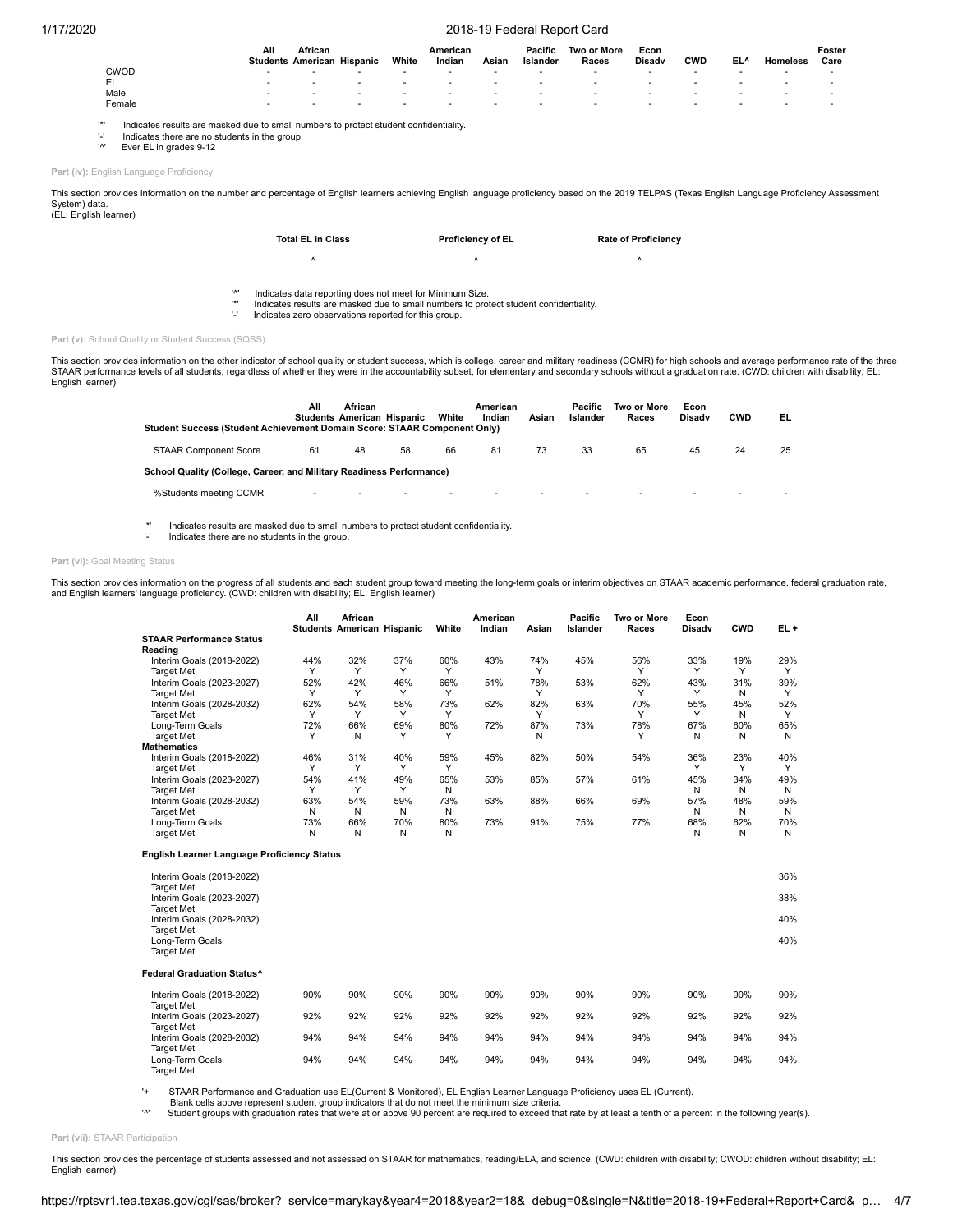|        | All    | African<br><b>Students American Hispanic</b> | White  | American<br>Indian | Asian                    | Pacific<br>Islander | Two or More<br>Races | Econ<br><b>Disady</b> | <b>CWD</b> | EL <sup>^</sup> | <b>Homeless</b> | Foster<br>Care |
|--------|--------|----------------------------------------------|--------|--------------------|--------------------------|---------------------|----------------------|-----------------------|------------|-----------------|-----------------|----------------|
| CWOD   | $\sim$ |                                              |        | . .                | . .                      |                     |                      |                       |            |                 |                 |                |
| EL     | $\sim$ | $\sim$                                       | $\sim$ | . .                | . .                      |                     |                      |                       |            |                 |                 |                |
| Male   |        |                                              |        | . .                | $\overline{\phantom{a}}$ |                     |                      |                       |            |                 |                 |                |
| Female |        |                                              |        |                    |                          |                     |                      |                       |            |                 |                 |                |

'\*' Indicates results are masked due to small numbers to protect student confidentiality<br>'' Indicates there are no students in the group.<br>'<sup>'</sup> Ever EL in grades 0.12

'-' Indicates there are no students in the group. Ever EL in grades 9-12

**Part (iv):** English Language Proficiency

This section provides information on the number and percentage of English learners achieving English language proficiency based on the 2019 TELPAS (Texas English Language Proficiency Assessment System) data. (EL: English learner)

| <b>Total EL in Class</b> | <b>Proficiency of EL</b> | <b>Rate of Proficiency</b> |
|--------------------------|--------------------------|----------------------------|
|                          |                          |                            |

'<sup>^'</sup> Indicates data reporting does not meet for Minimum Size.

'\*' Indicates results are masked due to small numbers to protect student confidentiality.

Indicates zero observations reported for this group.

**Part (v):** School Quality or Student Success (SQSS)

This section provides information on the other indicator of school quality or student success, which is college, career and military readiness (CCMR) for high schools and average performance rate of the three STAAR performance levels of all students, regardless of whether they were in the accountability subset, for elementary and secondary schools without a graduation rate. (CWD: children with disability; EL: English learner)

| Student Success (Student Achievement Domain Score: STAAR Component Only) | All          | African | <b>Students American Hispanic</b> | White | American<br>Indian | Asian | Pacific<br>Islander | <b>Two or More</b><br>Races | Econ<br><b>Disady</b> | <b>CWD</b> | EL. |
|--------------------------------------------------------------------------|--------------|---------|-----------------------------------|-------|--------------------|-------|---------------------|-----------------------------|-----------------------|------------|-----|
| <b>STAAR Component Score</b>                                             | 61           | 48      | 58                                | 66    | 81                 | 73    | 33                  | 65                          | 45                    | 24         | 25  |
| School Quality (College, Career, and Military Readiness Performance)     |              |         |                                   |       |                    |       |                     |                             |                       |            |     |
| %Students meeting CCMR                                                   | $\mathbf{r}$ |         |                                   |       |                    |       |                     |                             |                       |            |     |

'\*' Indicates results are masked due to small numbers to protect student confidentiality. Indicates there are no students in the group.

## Part (vi): Goal Meeting Status

This section provides information on the progress of all students and each student group toward meeting the long-term goals or interim objectives on STAAR academic performance, federal graduation rate,<br>and English learners

|                                                    | All | African<br><b>Students American Hispanic</b> |     | White | American<br>Indian | Asian | <b>Pacific</b><br>Islander | Two or More<br>Races | Econ<br>Disadv | <b>CWD</b> | EL+ |
|----------------------------------------------------|-----|----------------------------------------------|-----|-------|--------------------|-------|----------------------------|----------------------|----------------|------------|-----|
| <b>STAAR Performance Status</b>                    |     |                                              |     |       |                    |       |                            |                      |                |            |     |
| Reading                                            |     |                                              |     |       |                    |       |                            |                      |                |            |     |
| Interim Goals (2018-2022)                          | 44% | 32%                                          | 37% | 60%   | 43%                | 74%   | 45%                        | 56%                  | 33%            | 19%        | 29% |
| <b>Target Met</b>                                  | Y   | Y                                            | Υ   | Y     |                    | Y     |                            | Υ                    | Y              | Y          | Y   |
| Interim Goals (2023-2027)                          | 52% | 42%                                          | 46% | 66%   | 51%                | 78%   | 53%                        | 62%                  | 43%            | 31%        | 39% |
| <b>Target Met</b>                                  | Y   | Y                                            | Y   | Y     |                    | Y     |                            | Υ                    | Y              | N          | Y   |
| Interim Goals (2028-2032)                          | 62% | 54%                                          | 58% | 73%   | 62%                | 82%   | 63%                        | 70%                  | 55%            | 45%        | 52% |
| <b>Target Met</b>                                  | Y   | Y                                            | Υ   | Y     |                    | Y     |                            | Υ                    | Y              | N          | Y   |
| Long-Term Goals                                    | 72% | 66%                                          | 69% | 80%   | 72%                | 87%   | 73%                        | 78%                  | 67%            | 60%        | 65% |
| <b>Target Met</b>                                  | Y   | N                                            | Υ   | Υ     |                    | N     |                            | Υ                    | N              | N          | N   |
| <b>Mathematics</b>                                 |     |                                              |     |       |                    |       |                            |                      |                |            |     |
| Interim Goals (2018-2022)                          | 46% | 31%                                          | 40% | 59%   | 45%                | 82%   | 50%                        | 54%                  | 36%            | 23%        | 40% |
| <b>Target Met</b>                                  | Y   | Υ                                            | Y   | Y     |                    |       |                            |                      | Y              | Y          | Y   |
| Interim Goals (2023-2027)                          | 54% | 41%                                          | 49% | 65%   | 53%                | 85%   | 57%                        | 61%                  | 45%            | 34%        | 49% |
| <b>Target Met</b>                                  | Y   | Y                                            | Υ   | N     |                    |       |                            |                      | N              | N          | N   |
| Interim Goals (2028-2032)                          | 63% | 54%                                          | 59% | 73%   | 63%                | 88%   | 66%                        | 69%                  | 57%            | 48%        | 59% |
| <b>Target Met</b>                                  | N   | N                                            | N   | N     |                    |       |                            |                      | N              | N          | N   |
| Long-Term Goals                                    | 73% | 66%                                          | 70% | 80%   | 73%                | 91%   | 75%                        | 77%                  | 68%            | 62%        | 70% |
| <b>Target Met</b>                                  | N   | N                                            | N   | N     |                    |       |                            |                      | N              | N          | N   |
| <b>English Learner Language Proficiency Status</b> |     |                                              |     |       |                    |       |                            |                      |                |            |     |
| Interim Goals (2018-2022)                          |     |                                              |     |       |                    |       |                            |                      |                |            | 36% |
| <b>Target Met</b>                                  |     |                                              |     |       |                    |       |                            |                      |                |            |     |
| Interim Goals (2023-2027)                          |     |                                              |     |       |                    |       |                            |                      |                |            | 38% |
| <b>Target Met</b>                                  |     |                                              |     |       |                    |       |                            |                      |                |            |     |
| Interim Goals (2028-2032)                          |     |                                              |     |       |                    |       |                            |                      |                |            | 40% |
| <b>Target Met</b>                                  |     |                                              |     |       |                    |       |                            |                      |                |            |     |
| Long-Term Goals                                    |     |                                              |     |       |                    |       |                            |                      |                |            | 40% |
| <b>Target Met</b>                                  |     |                                              |     |       |                    |       |                            |                      |                |            |     |
| <b>Federal Graduation Status^</b>                  |     |                                              |     |       |                    |       |                            |                      |                |            |     |
| Interim Goals (2018-2022)                          | 90% | 90%                                          | 90% | 90%   | 90%                | 90%   | 90%                        | 90%                  | 90%            | 90%        | 90% |
| <b>Target Met</b>                                  |     |                                              |     |       |                    |       |                            |                      |                |            |     |
| Interim Goals (2023-2027)                          | 92% | 92%                                          | 92% | 92%   | 92%                | 92%   | 92%                        | 92%                  | 92%            | 92%        | 92% |
| <b>Target Met</b>                                  |     |                                              |     |       |                    |       |                            |                      |                |            |     |
| Interim Goals (2028-2032)                          | 94% | 94%                                          | 94% | 94%   | 94%                | 94%   | 94%                        | 94%                  | 94%            | 94%        | 94% |
| <b>Target Met</b>                                  |     |                                              |     |       |                    |       |                            |                      |                |            |     |
| Long-Term Goals<br><b>Target Met</b>               | 94% | 94%                                          | 94% | 94%   | 94%                | 94%   | 94%                        | 94%                  | 94%            | 94%        | 94% |

'+' STAAR Performance and Graduation use EL(Current & Monitored), EL English Learner Language Proficiency uses EL (Current).

Blank cells above represent student group indicators that do not meet the minimum size criteria.<br>^ Student groups with graduation rates that were at or above 90 percent are required to exceed that rate by at least a tenth

**Part (vii):** STAAR Participation

This section provides the percentage of students assessed and not assessed on STAAR for mathematics, reading/ELA, and science. (CWD: children with disability; CWOD: children without disability; EL: English learner)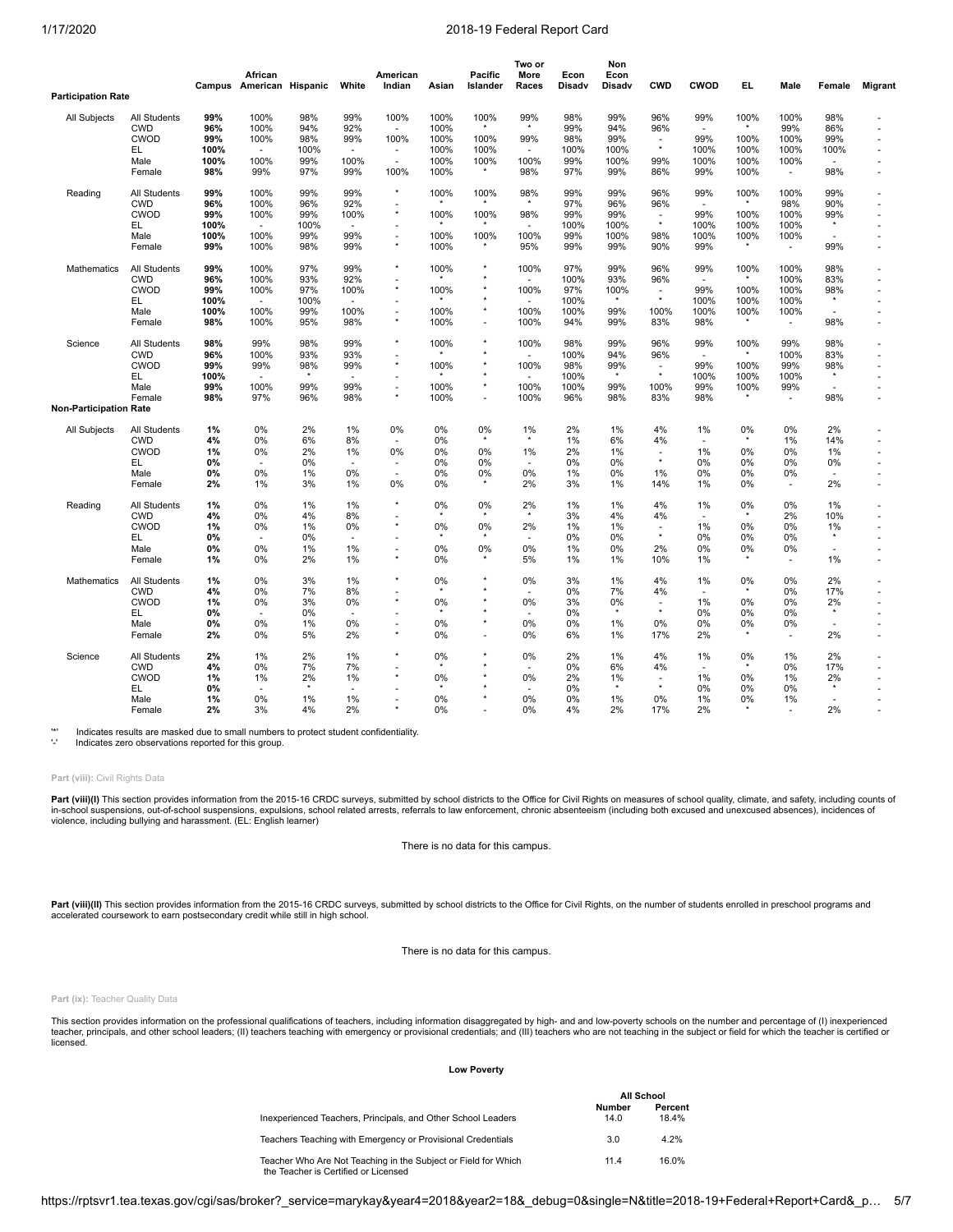**Two or**

**Non**

|                               |              |        | African           |         |                          | American                 |         | Pacific  | More    | Econ   | Econ     |                          |                          |          |                          |                          |                |
|-------------------------------|--------------|--------|-------------------|---------|--------------------------|--------------------------|---------|----------|---------|--------|----------|--------------------------|--------------------------|----------|--------------------------|--------------------------|----------------|
|                               |              | Campus | American Hispanic |         | White                    | Indian                   | Asian   | Islander | Races   | Disadv | Disadv   | <b>CWD</b>               | CWOD                     | EL.      | Male                     | Female                   | <b>Migrant</b> |
| <b>Participation Rate</b>     |              |        |                   |         |                          |                          |         |          |         |        |          |                          |                          |          |                          |                          |                |
| All Subjects                  | All Students | 99%    | 100%              | 98%     | 99%                      | 100%                     | 100%    | 100%     | 99%     | 98%    | 99%      | 96%                      | 99%                      | 100%     | 100%                     | 98%                      |                |
|                               | <b>CWD</b>   | 96%    | 100%              | 94%     | 92%                      |                          | 100%    |          | $\star$ | 99%    | 94%      | 96%                      | ×                        |          | 99%                      | 86%                      |                |
|                               | <b>CWOD</b>  | 99%    | 100%              | 98%     | 99%                      | 100%                     | 100%    | 100%     | 99%     | 98%    | 99%      | ٠                        | 99%                      | 100%     | 100%                     | 99%                      |                |
|                               | EL           | 100%   | $\sim$            | 100%    | $\sim$                   | $\sim$                   | 100%    | 100%     | ۰       | 100%   | 100%     | $^\star$                 | 100%                     | 100%     | 100%                     | 100%                     |                |
|                               | Male         | 100%   | 100%              | 99%     | 100%                     | ×.                       | 100%    | 100%     | 100%    | 99%    | 100%     | 99%                      | 100%                     | 100%     | 100%                     |                          |                |
|                               | Female       | 98%    | 99%               | 97%     | 99%                      | 100%                     | 100%    | $\star$  | 98%     | 97%    | 99%      | 86%                      | 99%                      | 100%     | $\sim$                   | 98%                      |                |
| Reading                       | All Students | 99%    | 100%              | 99%     | 99%                      | $\star$                  | 100%    | 100%     | 98%     | 99%    | 99%      | 96%                      | 99%                      | 100%     | 100%                     | 99%                      |                |
|                               | <b>CWD</b>   | 96%    | 100%              | 96%     | 92%                      | $\star$                  |         |          | $\star$ | 97%    | 96%      | 96%                      |                          |          | 98%                      | 90%                      |                |
|                               | CWOD         | 99%    | 100%              | 99%     | 100%                     |                          | 100%    | 100%     | 98%     | 99%    | 99%      | $\overline{\phantom{a}}$ | 99%                      | 100%     | 100%                     | 99%                      |                |
|                               | EL           | 100%   | $\sim$            | 100%    |                          |                          |         |          |         | 100%   | 100%     | $\star$                  | 100%                     | 100%     | 100%                     | $\star$                  |                |
|                               | Male         | 100%   | 100%              | 99%     | 99%                      | $\overline{\phantom{a}}$ | 100%    | 100%     | 100%    | 99%    | 100%     | 98%                      | 100%                     | 100%     | 100%                     | ÷,                       |                |
|                               | Female       | 99%    | 100%              | 98%     | 99%                      | $^\star$                 | 100%    | $\star$  | 95%     | 99%    | 99%      | 90%                      | 99%                      | $^\star$ | $\blacksquare$           | 99%                      |                |
| Mathematics                   | All Students | 99%    | 100%              | 97%     | 99%                      | $\star$                  | 100%    |          | 100%    | 97%    | 99%      | 96%                      | 99%                      | 100%     | 100%                     | 98%                      |                |
|                               | <b>CWD</b>   | 96%    | 100%              | 93%     | 92%                      |                          |         |          |         | 100%   | 93%      | 96%                      | $\overline{\phantom{a}}$ |          | 100%                     | 83%                      |                |
|                               | <b>CWOD</b>  | 99%    | 100%              | 97%     | 100%                     | $^\star$                 | 100%    |          | 100%    | 97%    | 100%     | ÷.<br>$\star$            | 99%                      | 100%     | 100%                     | 98%                      |                |
|                               | EL           | 100%   |                   | 100%    |                          |                          |         |          |         | 100%   |          |                          | 100%                     | 100%     | 100%                     |                          |                |
|                               | Male         | 100%   | 100%              | 99%     | 100%                     |                          | 100%    | $^\star$ | 100%    | 100%   | 99%      | 100%                     | 100%                     | 100%     | 100%                     |                          |                |
|                               | Female       | 98%    | 100%              | 95%     | 98%                      | $\star$                  | 100%    | $\sim$   | 100%    | 94%    | 99%      | 83%                      | 98%                      | $\star$  | $\overline{\phantom{a}}$ | 98%                      |                |
| Science                       | All Students | 98%    | 99%               | 98%     | 99%                      | $^\star$                 | 100%    |          | 100%    | 98%    | 99%      | 96%                      | 99%                      | 100%     | 99%                      | 98%                      |                |
|                               | <b>CWD</b>   | 96%    | 100%              | 93%     | 93%                      |                          |         |          |         | 100%   | 94%      | 96%                      | $\overline{\phantom{a}}$ | $\star$  | 100%                     | 83%                      |                |
|                               | <b>CWOD</b>  | 99%    | 99%               | 98%     | 99%                      | $^\star$                 | 100%    |          | 100%    | 98%    | 99%      | ٠                        | 99%                      | 100%     | 99%                      | 98%                      |                |
|                               | EL           | 100%   | $\sim$            | $\star$ | ÷.                       |                          |         |          |         | 100%   | $^\star$ | $\star$                  | 100%                     | 100%     | 100%                     | $\star$                  |                |
|                               | Male         | 99%    | 100%              | 99%     | 99%                      | $\sim$                   | 100%    | $^\star$ | 100%    | 100%   | 99%      | 100%                     | 99%                      | 100%     | 99%                      | ÷,                       |                |
|                               | Female       | 98%    | 97%               | 96%     | 98%                      | $\star$                  | 100%    |          | 100%    | 96%    | 98%      | 83%                      | 98%                      | $\star$  | $\blacksquare$           | 98%                      |                |
| <b>Non-Participation Rate</b> |              |        |                   |         |                          |                          |         |          |         |        |          |                          |                          |          |                          |                          |                |
| All Subjects                  | All Students | 1%     | 0%                | 2%      | 1%                       | 0%                       | 0%      | 0%       | 1%      | 2%     | 1%       | 4%                       | 1%                       | 0%       | 0%                       | 2%                       |                |
|                               | <b>CWD</b>   | 4%     | 0%                | 6%      | 8%                       |                          | 0%      |          | $\star$ | 1%     | 6%       | 4%                       | $\sim$                   |          | 1%                       | 14%                      |                |
|                               | CWOD         | 1%     | 0%                | 2%      | 1%                       | 0%                       | 0%      | 0%       | 1%      | 2%     | 1%       |                          | 1%                       | 0%       | 0%                       | 1%                       |                |
|                               | EL.          | 0%     |                   | 0%      | ÷,                       |                          | 0%      | 0%       | ÷,      | 0%     | 0%       | $^\star$                 | $0\%$                    | 0%       | 0%                       | 0%                       |                |
|                               | Male         | 0%     | 0%                | 1%      | 0%                       | ÷.                       | 0%      | 0%       | 0%      | 1%     | 0%       | 1%                       | 0%                       | 0%       | 0%                       | $\overline{\phantom{a}}$ |                |
|                               | Female       | 2%     | 1%                | 3%      | 1%                       | 0%                       | 0%      |          | 2%      | 3%     | 1%       | 14%                      | 1%                       | 0%       | $\overline{a}$           | 2%                       |                |
| Reading                       | All Students | 1%     | 0%                | 1%      | 1%                       | $\star$                  | 0%      | 0%       | 2%      | $1\%$  | 1%       | 4%                       | 1%                       | 0%       | 0%                       | 1%                       |                |
|                               | <b>CWD</b>   | 4%     | 0%                | 4%      | 8%                       | ×                        |         |          | $\star$ | 3%     | 4%       | 4%                       | $\sim$                   | $\star$  | 2%                       | 10%                      |                |
|                               | CWOD         | 1%     | 0%                | 1%      | 0%                       | $^\star$                 | 0%      | 0%       | 2%      | 1%     | 1%       | $\overline{a}$           | 1%                       | 0%       | 0%                       | 1%                       |                |
|                               | EL           | 0%     |                   | 0%      | ٠                        | $\overline{\phantom{a}}$ |         |          | ۰       | 0%     | 0%       | $^\star$                 | $0\%$                    | 0%       | 0%                       |                          |                |
|                               | Male         | 0%     | 0%                | 1%      | 1%                       | $\sim$                   | 0%      | 0%       | 0%      | $1\%$  | 0%       | 2%                       | 0%                       | 0%       | 0%                       | ÷.                       |                |
|                               | Female       | 1%     | 0%                | 2%      | 1%                       | $^\star$                 | 0%      |          | 5%      | 1%     | 1%       | 10%                      | 1%                       |          | $\sim$                   | 1%                       |                |
| Mathematics                   | All Students | 1%     | 0%                | 3%      | 1%                       | $\star$                  | 0%      |          | 0%      | 3%     | 1%       | 4%                       | 1%                       | 0%       | 0%                       | 2%                       |                |
|                               | <b>CWD</b>   | 4%     | 0%                | 7%      | 8%                       |                          |         |          | ٠       | 0%     | 7%       | 4%                       | ÷.                       | $\star$  | 0%                       | 17%                      |                |
|                               | <b>CWOD</b>  | 1%     | 0%                | 3%      | 0%                       | $\star$                  | 0%      |          | 0%      | 3%     | 0%       | ٠                        | 1%                       | 0%       | 0%                       | 2%                       |                |
|                               | EL           | 0%     |                   | 0%      |                          | ٠                        | $\star$ |          | ä,      | 0%     | $\star$  | $\star$                  | 0%                       | 0%       | 0%                       | $\star$                  |                |
|                               | Male         | 0%     | 0%                | 1%      | 0%                       |                          | 0%      |          | 0%      | 0%     | 1%       | 0%                       | 0%                       | $0\%$    | 0%                       |                          |                |
|                               | Female       | 2%     | 0%                | 5%      | 2%                       | $\star$                  | 0%      |          | 0%      | 6%     | 1%       | 17%                      | 2%                       | $\star$  | ä,                       | 2%                       |                |
| Science                       | All Students | 2%     | 1%                | 2%      | 1%                       | $\star$                  | 0%      |          | 0%      | 2%     | 1%       | 4%                       | 1%                       | $0\%$    | 1%                       | 2%                       |                |
|                               | <b>CWD</b>   | 4%     | 0%                | 7%      | 7%                       |                          |         |          |         | 0%     | 6%       | 4%                       |                          |          | 0%                       | 17%                      |                |
|                               | <b>CWOD</b>  | 1%     | 1%                | 2%      | 1%                       | $^\star$                 | 0%      |          | 0%      | 2%     | 1%       |                          | 1%                       | 0%       | 1%                       | 2%                       |                |
|                               | EL           | 0%     |                   | $\star$ | $\overline{\phantom{a}}$ |                          |         |          | ٠       | 0%     | $\star$  | $^\star$                 | 0%                       | 0%       | 0%                       |                          |                |
|                               | Male         | 1%     | 0%                | 1%      | 1%                       |                          | 0%      |          | 0%      | 0%     | 1%       | 0%                       | 1%                       | 0%       | 1%                       | ä,                       |                |
|                               | Female       | 2%     | 3%                | 4%      | 2%                       |                          | 0%      |          | 0%      | 4%     | 2%       | 17%                      | 2%                       |          | ٠                        | 2%                       |                |

'\*' Indicates results are masked due to small numbers to protect student confidentiality.

Indicates zero observations reported for this group.

# **Part (viii):** Civil Rights Data

**Part (viii)(I)** This section provides information from the 2015-16 CRDC surveys, submitted by school districts to the Office for Civil Rights on measures of school quality, climate, and safety, including counts of<br>in-scho violence, including bullying and harassment. (EL: English learner)

There is no data for this campus.

Part (viii)(II) This section provides information from the 2015-16 CRDC surveys, submitted by school districts to the Office for Civil Rights, on the number of students enrolled in preschool programs and accelerated coursework to earn postsecondary credit while still in high school.

There is no data for this campus.

## **Part (ix):** Teacher Quality Data

This section provides information on the professional qualifications of teachers, including information disaggregated by high- and and low-poverty schools on the number and percentage of (I) inexperienced<br>teacher, principa licensed.

## **Low Poverty**

|                                                                                                        | All School     |                  |
|--------------------------------------------------------------------------------------------------------|----------------|------------------|
| Inexperienced Teachers, Principals, and Other School Leaders                                           | Number<br>14.0 | Percent<br>18.4% |
| Teachers Teaching with Emergency or Provisional Credentials                                            | 3.0            | 4.2%             |
| Teacher Who Are Not Teaching in the Subject or Field for Which<br>the Teacher is Certified or Licensed | 11.4           | 16.0%            |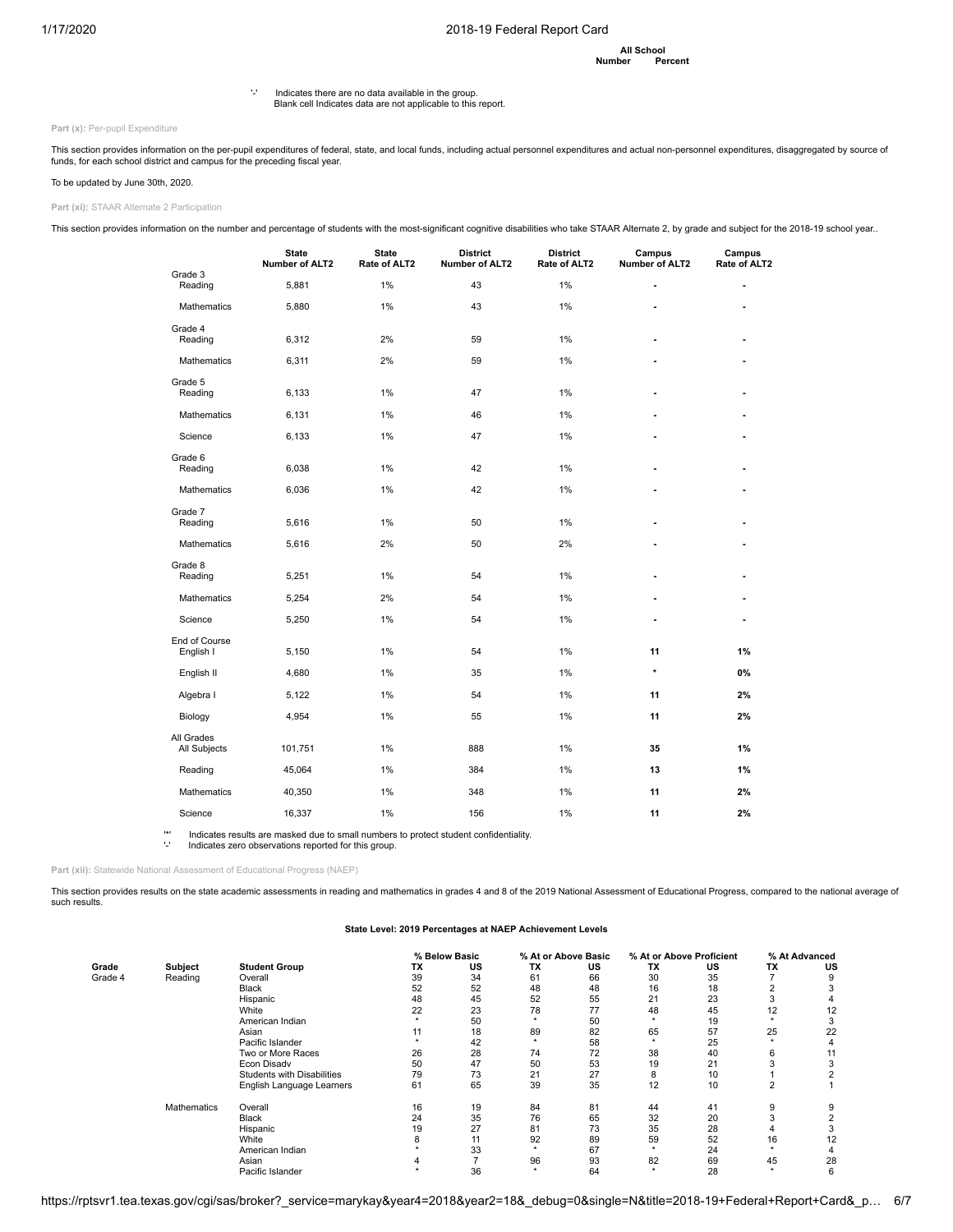**All School Number** 

'-' Indicates there are no data available in the group. Blank cell Indicates data are not applicable to this report.

Part (x): Per-pupil Expenditure

This section provides information on the per-pupil expenditures of federal, state, and local funds, including actual personnel expenditures and actual non-personnel expenditures, disaggregated by source of<br>funds, for each

To be updated by June 30th, 2020.

**Part (xi):** STAAR Alternate 2 Participation

This section provides information on the number and percentage of students with the most-significant cognitive disabilities who take STAAR Alternate 2, by grade and subject for the 2018-19 school year..

|                            | <b>State</b><br>Number of ALT2 | <b>State</b><br>Rate of ALT2 | <b>District</b><br>Number of ALT2 | <b>District</b><br>Rate of ALT2 | Campus<br>Number of ALT2 | Campus<br>Rate of ALT2 |
|----------------------------|--------------------------------|------------------------------|-----------------------------------|---------------------------------|--------------------------|------------------------|
| Grade 3<br>Reading         | 5,881                          | 1%                           | 43                                | 1%                              |                          | ä,                     |
| <b>Mathematics</b>         | 5,880                          | 1%                           | 43                                | 1%                              |                          |                        |
| Grade 4<br>Reading         | 6,312                          | 2%                           | 59                                | 1%                              | ٠                        | ٠                      |
| Mathematics                | 6,311                          | 2%                           | 59                                | 1%                              | ٠                        |                        |
| Grade 5<br>Reading         | 6,133                          | 1%                           | 47                                | 1%                              | ٠                        | ÷                      |
| <b>Mathematics</b>         | 6,131                          | 1%                           | 46                                | 1%                              |                          |                        |
| Science                    | 6,133                          | 1%                           | 47                                | 1%                              |                          |                        |
| Grade 6<br>Reading         | 6,038                          | 1%                           | 42                                | 1%                              |                          |                        |
| <b>Mathematics</b>         | 6,036                          | 1%                           | 42                                | 1%                              |                          |                        |
| Grade 7<br>Reading         | 5,616                          | 1%                           | 50                                | 1%                              | ٠                        |                        |
| Mathematics                | 5,616                          | 2%                           | 50                                | 2%                              |                          |                        |
| Grade 8<br>Reading         | 5,251                          | 1%                           | 54                                | 1%                              | ٠                        |                        |
| <b>Mathematics</b>         | 5,254                          | 2%                           | 54                                | 1%                              |                          |                        |
| Science                    | 5,250                          | 1%                           | 54                                | 1%                              | ٠                        |                        |
| End of Course<br>English I | 5,150                          | 1%                           | 54                                | 1%                              | 11                       | 1%                     |
| English II                 | 4,680                          | 1%                           | 35                                | 1%                              | $\star$                  | 0%                     |
| Algebra I                  | 5,122                          | 1%                           | 54                                | 1%                              | 11                       | 2%                     |
| Biology                    | 4,954                          | 1%                           | 55                                | 1%                              | 11                       | 2%                     |
| All Grades<br>All Subjects | 101,751                        | 1%                           | 888                               | 1%                              | 35                       | 1%                     |
| Reading                    | 45,064                         | 1%                           | 384                               | 1%                              | 13                       | 1%                     |
| Mathematics                | 40,350                         | 1%                           | 348                               | 1%                              | 11                       | 2%                     |
| Science                    | 16,337                         | 1%                           | 156                               | 1%                              | 11                       | 2%                     |

'\*' Indicates results are masked due to small numbers to protect student confidentiality. Indicates zero observations reported for this group.

Part (xii): Statewide National Assessment of Educational Progress (NAEP)

This section provides results on the state academic assessments in reading and mathematics in grades 4 and 8 of the 2019 National Assessment of Educational Progress, compared to the national average of such results

## **State Level: 2019 Percentages at NAEP Achievement Levels**

|         |                    |                                   |    | % Below Basic |    | % At or Above Basic |           | % At or Above Proficient |                | % At Advanced |
|---------|--------------------|-----------------------------------|----|---------------|----|---------------------|-----------|--------------------------|----------------|---------------|
| Grade   | Subject            | <b>Student Group</b>              | TX | US            | TX | US                  | <b>TX</b> | US                       | TX             | US            |
| Grade 4 | Reading            | Overall                           | 39 | 34            | 61 | 66                  | 30        | 35                       |                | g             |
|         |                    | <b>Black</b>                      | 52 | 52            | 48 | 48                  | 16        | 18                       |                |               |
|         |                    | Hispanic                          | 48 | 45            | 52 | 55                  | 21        | 23                       |                |               |
|         |                    | White                             | 22 | 23            | 78 | 77                  | 48        | 45                       | 12             | 12            |
|         |                    | American Indian                   |    | 50            |    | 50                  |           | 19                       |                | 3             |
|         |                    | Asian                             | 11 | 18            | 89 | 82                  | 65        | 57                       | 25             | 22            |
|         |                    | Pacific Islander                  |    | 42            |    | 58                  |           | 25                       |                |               |
|         |                    | Two or More Races                 | 26 | 28            | 74 | 72                  | 38        | 40                       | 6              |               |
|         |                    | Econ Disadv                       | 50 | 47            | 50 | 53                  | 19        | 21                       |                |               |
|         |                    | <b>Students with Disabilities</b> | 79 | 73            | 21 | 27                  | 8         | 10                       |                |               |
|         |                    | English Language Learners         | 61 | 65            | 39 | 35                  | 12        | 10                       | $\overline{2}$ |               |
|         | <b>Mathematics</b> | Overall                           | 16 | 19            | 84 | 81                  | 44        | 41                       | 9              |               |
|         |                    | <b>Black</b>                      | 24 | 35            | 76 | 65                  | 32        | 20                       |                |               |
|         |                    | Hispanic                          | 19 | 27            | 81 | 73                  | 35        | 28                       |                |               |
|         |                    | White                             | 8  | 11            | 92 | 89                  | 59        | 52                       | 16             | 12            |
|         |                    | American Indian                   |    | 33            |    | 67                  |           | 24                       |                |               |
|         |                    | Asian                             |    |               | 96 | 93                  | 82        | 69                       | 45             | 28            |
|         |                    | Pacific Islander                  |    | 36            |    | 64                  | ٠         | 28                       |                | 6             |